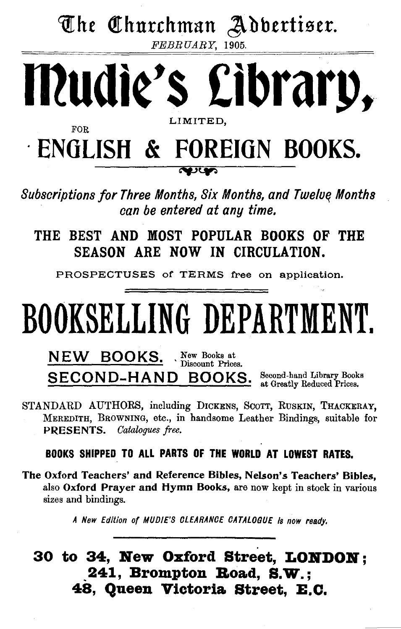The Churchman Adbertiser.

FEBRUARY, 1905.



*Subscriptions for Three Months, Six Months, and* Twelo~ *Months can be entered at any time.* 

 $\sim$ 

THE BEST AND MOST POPULAR BOOKS OF THE SEASON ARE NOW IN CIRCULATION.

PROSPECTUSES of TERMS free on application.

# BOOKSELLING DEPARTMENT.

NEW BOOKS. New Books at Discount Prices. SECOND-HAND BOOKS. Second-hand Library Books at Greatly Reduced Prices.

STANDARD AUTHORS, including DICKENS, SCOTT, RUSKIN, THACKERAY, MEREDITH, BROWNING, etc., in handsome Leather Bindings, suitable for PRESENTS. *Catalogues free.* 

BOOKS SHIPPED TO ALL PARTS OF THE WORLD AT LOWEST RATES.

The Oxford Teachers' and Reference Bibles, Nelson's Teachers' Bibles, also Oxford Prayer and Hymn Books, are now kept in stock in various sizes and bindings.

A New Edition of MUD/E'S CLEARANCE CATALOGUE Is now ready.

30 to 34, New Oxford Street, LONDON; 241, Brompton Road, S.W.; 48, Queen Viotoria. Street, E.O.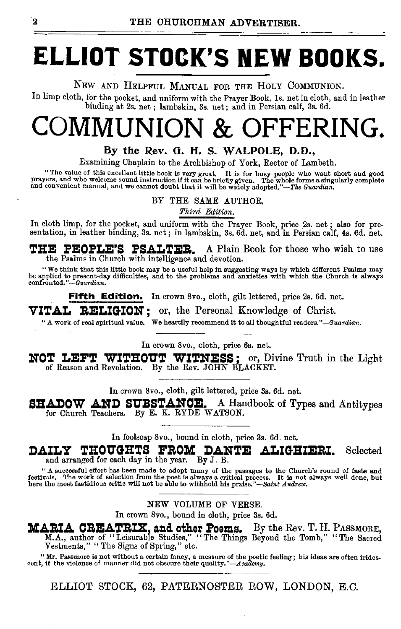# **ELLIOT STOCK'S NEW BOOKS.**

NEW AND HELPFUL MANGAL FOR THE HOLY COMMUNION.

In limp cloth, for the pocket, and uniform with the Prayer Book, ls. net in cloth, and in leather binding at 2s. net ; lambskin, 3s. net; and in Persian calf, 3s. 6d.

# COMMUNION & OFFERING.

### By the Rev. G. H. S. WALPOLE, D.D.,

Examining Chaplain to the Archbishop of York, Rector of Lambeth.

"The value of this excellent little book is very great. It is for busy people who want short and good<br>prayers, and who welcome sound instruction if it can be briefly given, The whole forms a singularly complete<br>and conveni

BY THE SAME AUTHOR.

*Third Edition.* 

In cloth limp, for the pocket, and uniform with the Prayer Book, price 2s. net ; also for presentation, in leather binding, 3s. net ; in lambskin, 3s. 6d. net, and in Persian calf, 4s. 6d. net.

THE: PEOPLE'S PSALTER. A Plain Book for those who wish to use the Psalms in Church with intelligence and devotion.

"We think that this little book may be a useful help in suggesting ways by which different Psalms may<br>be applied to present day difficulties, and to the problems and anxieties with which the Church is always<br>confronted."—

Fifth Edition. In crown 8vo., cloth, gilt lettered, price 2s. 6d. net.

VITAL RELIGION; or, the Personal Knowledge of Christ.

"A work of real spiritual value. We heartily recommend it to all thoughtful *readers."-Gua•·dian.* 

In crown 8vo., cloth, price 6s. net.

NOT LEFT WITHOUT WITNESS: or, Divine Truth in the Light of Reason and Revelation. By the Rev. JOHN BLACKET.

In crown 8vo., cloth, gilt lettered, price 3s. 6d. net.

SHADOW AND SUBSTANCE. A Handbook of Types and Antitypes for Church Teachers. By E. K. RYDE WATSON.

In foolscap 8vo., bound in cloth, price 3s. 6d. net.

DAILY THOUGHTS FROM DANTE ALIGHIERI. Selected and arranged for each day in the year. By J. B.

" A successful effort has been made to adopt many of the passages to the Church's round of fasts and<br>festivals. The work of selection from the poet is always a critical process. It is not always well done, but<br>here the mos

### NEW VOLUME OF VERSE.

In crown 8vo., bound iu cloth, price 3s. 6d.

**MARIA CREATRIX, and other Poems.** By the Rev. T. H. PASSMORE, M.A., author of "Leisurable Studies," "The Things Beyond the Tomb," "The Sacred Vestments," " The Signs of Spring," etc.

"Mr. Passmore is not without a certain fancy, a measure of the poetic feeling; his ideas are often irides-cent, if the violence of manner did not obscure their *quality."-Academy.* 

ELLIOT STOCK, 62, PATERNOSTER ROW, LONDON, E.C.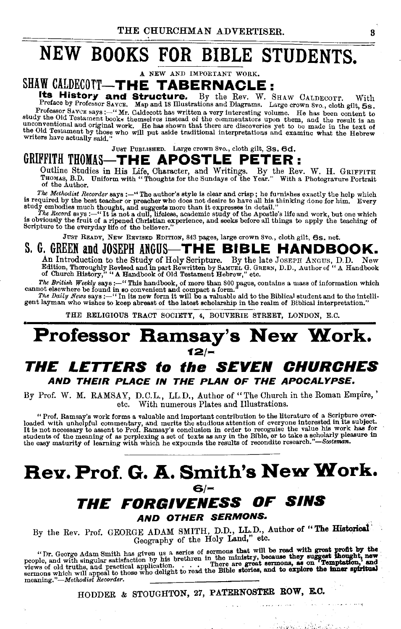# NEW BOOKS FOR BIBLE STUDENTS.

A NEW AND IMPORTANT WORK.

### SHAW CALDECOTT-THE TABERNACLE:

Its History and Structure. By the Rev. W. SHAW CALDECOTT. With Preface by Professor Savce. Map and 18 Illustrations and Diagrams. Large crown Svo., cloth gilt, 5s.<br>Professor Savce says:—"Mr. Caldecott has written a very in Frofessor Saver says :----- 'Mr. Caldecott has written a very interesting volume. He has been content to study the Old Testament books themselves instead of the commentators upon them, and the result is an unconventional a

JusT PuBLISHED. Large crown Svo., cloth gilt, 3s, 6d.

### GRIFFITH THOMAS-THE APOSTLE PETER:

Outline Studies in His Life, Character, and Writings. By the Rev. W. H. GRIFFITH<br>Tuox1s, B.D. Uniform with "Thoughts for the Sundays of the Year." With a Photogravure Portrait<br>of the Author.

The Methodist Recorder says:-" The author's style is clear and crisp; he furnishes exactly the help which IS required by the best teacher or preacher who does not desire to have all his thinking done for him. Every

study emhodies much thought, and suggests more than it expresses in detail."<br>The Record says: --"It is not a dull, liftletes, academic study of the Apostle's life and work, but one which<br>is obviously the fruit of a ripened

JUST READY, NEW REVISED EDITION, 843 pages, large crown Svo., cloth gilt, 6s. net.

### S. G. GREEN and JOSEPH ANGUS-THE BIBLE HANDBOOK.

An Introduction to the Study of Holy Scripture. By the late JOSEPH ANGUS, D.D. New<br>Edition, Thoroughly Revised and in part Rewritten by SAMUEL G. GREEN, D.D., Author of "A Handbook<br>of Church History," "A Handbook of Old Te

*The British Weekly* says:--" This handbook, of more than 800 pages, contains a mass of information which cannot elsewhere be found in so convenient and compact a form."

The *Daily News* says:-" In its new form it will be a valuable aid to the Biblical student and to the intelligent layman who wishes to keep abreast of the latest scholarship in the realm of Biblical interpretation."

THE RELIGIOUS TRACT SOCIETY, 4, BOUVERIE STREET, LONDON, E.C.

### Professor Ramsay's New Work.  $12^{2}$

### THE LETTERS to the SEVEN CHURCHES AND THEIR PLACE IN THE PLAN OF THE APOCALYPSE.

By Prof. W. M. RAMSAY, D.C.L., LL.D., Author of "The Church in the Roman Empire,' etc. With numerous Plates and Illustrations.

" Prof. Ramsay's work forms a valuable and important contribution to the literature of a Scripture over-<br>loaded with unhelpful commentary, and merits the studious attention of everyone interested in its subject.<br>It is not

### Rev. Prof. G. A. Smith's New Work. *£\$!-* THE FORGIVENESS OF SINS

AND OTHER SERMONS.

By the Rev. Prof. GEORGE ADAM SMITH, D.D., LL.D., Author of "The Historical" Geography of the Holy Land," etc.

"Tr. George Adam Smith has given us a series of sermons that will be read with great profit by the people, and with singular satisfaction by his brethren in the ministry, because they suggest thought, new views of old tru

HODDER & STOUGHTON, 27, PATERNOSTER ROW, E.O.

a warehouse and

วันเรื่องเรา มีสิริยังเข้า และเร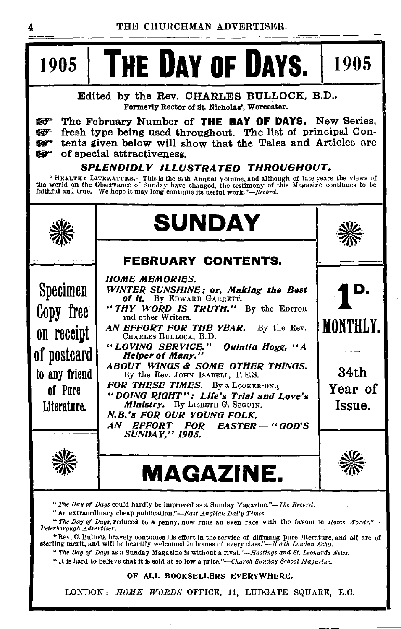#### t9o51 **THE DAY OF DAYS.** 1905 Edited by the Rev. CHARLES BULLOCK, B.D., Formerly Rector of St. Nicholas', Worcester. W<sup>\*</sup> The February Number of **THE DAY OF DAYS.** New Series,<br>W<sup>\*</sup> fresh type being used throughout. The list of principal Confresh type being used throughout. The list of principal Con-Gifferm tents given below will show that the Tales and Articles are<br>Gifter of special attractiveness of special attractiveness. *SPLENDIDLY ILLUSTRATED THROUGHOUT.*  "HEALTHY LITERATURE.—This is the 27th Annual Volume, and although of late years the views of<br>the world on the Observance of Sunday have changed, the testimony of this Magazine continues to be<br>faithful and true. We hope it  $\frac{1}{2}$ Specimen Copy free on receint of postcard to any friend of Pnre Literature. **~\***  $\Delta v$ **SUNDAY FEBRUARY CONTENTS.**  *110MB MEMORIES. WINTER. SUNSIIINB; or, Making the Best*  of It. By EDWARD GARRETT. " *TIIY WORD IS TRUTH."* By the EDITOR and other Writers. *AN EFFORT FOR TIIB YEAR.* By the Rev. CHARLES BULLOCK, B.D. *"LOVINO SERVICE." Quintin lfogg, "A lie/per of Many." ABOUT WINOS* &i *SOME OTIIBR Til/NOS.*  By the Rev. JOHN ISABELL, F.E.S. *FOR THESE TIMES.* By a LOOKER-ON.1 *"DO/NO RIOIIT": Life's Trial and Love's Ministry.* By LISBETH G. SEGUIN. *N.B. 's FOR OUR YOUNO FOLK. AN EFFORT FOR EASTER* - *"OOD' S SUNDAY," 1905.*  **MAGAZINE.**  \*\* **lD.**  MONTHLY. 34th Year of Issue.

*"The Day of Days* could hardly be Improved as a Sunday Magazine."-The *Reco1·d.* 

" An extraordinary cheap publication."-East *Anglian Daily Times.* 

*"The Day of Days,* reduced to a penny, now runs an even race with the favourite *Home Words."- Peterborpugh Advertiser.* .

"Rev. C. Bullock bravely continues his effort in the service of diffusing pure llteratnre, and all are of sterling merit, and will be heartily welcomed in homes of every *class."-North London Echo*.

" *The Day of Days* as a Sunday Magazine is without a *rivai."-Hastings and St. Leonard& News.* 

"It Is hard to believe that It Is sold at so low a *price."-Church Sunday School Magazine.* 

#### OF ALL BOOKSELLERS EVERYWHERE.

LONDON: *HOME WORDS* OFFICE, 11, LUDGATE SQUARE, E.C.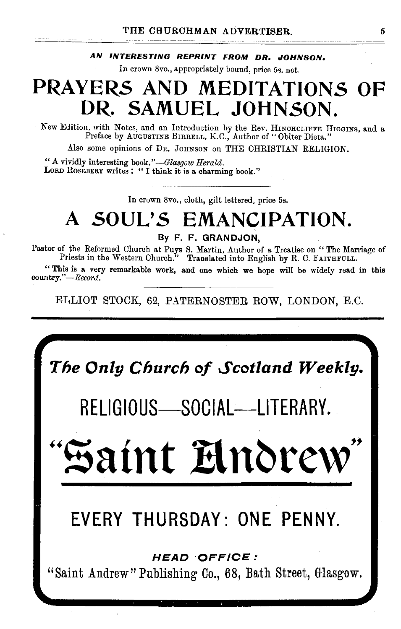#### **AN INTERESTING REPRINT FROM DR. JOHNSON.**

In crown 8vo., appropriately bound, price 5s. net.

## **PRAYERS AND MEDITATIONS OF DR. SAMUEL JOHNSON.**

New Edition, with Notes, and an Introduction by the Rev. HINCHCLIFFE HIGGINS, and a Preface by Augustine Birrell, K.C., Author of "Obiter Dicta."

Also some opinions of DR. JOHNSON on THE CHRISTIAN RELIGION.

"A vividly interesting book." *-Glasgow Herald.*  LORD ROSEBERY writes: "I think it is a charming book."

In crown 8vo., cloth, gilt lettered, price 5s.

# **A SOUL'S EMANCIPATION.**

**By F. F. GRANDJON,** 

Pastor of the Reformed Church at Puys S. Martin, Author of a Treatise on " The Marriage of Priests in the Western Church." Translated into English by R. C. FAITHFULL.

" This is a very remarkable work, and one which we hope will be widely read in this *country.''-Record.* 

ELLIOT STOCK, 62, PATERNOSTER ROW, LONDON, E.O.

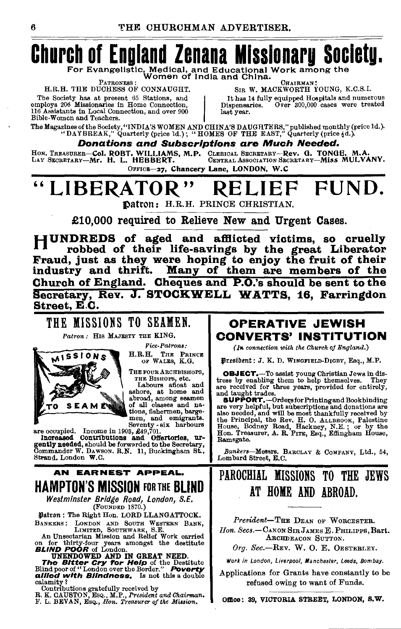# **Church of England Zenana Misslonarg Socletu.**  For Evangelistic, Medical, and Educational Work among the<br>PATRONESS: Women of India and China. CHAIRMAN:

PATRONESS :<br>H.R.H. THE DUCHESS OF CONNAUGHT<br>The Society has at present 65 Stations, and<br>employs 206 Missionaries in Home Connection, 116 Assistants in Local Connection, and over 900 Bible-Women and Teachers.

EATRONES : CHAIRMAN: CHAIRMAN: CHAIRMAN: CHAIRMAN: CHAIRMAN: CHAIRMAN: CHAIRMAN: CHAIRMAN: CHAIRMAN: CAS.I. It has 14 fully equipped Hospitals and numerous Dispensaries. Over 300,000 cases were treated

The Magazines of the Society, "INDIA'S WOMEN AND CHINA'S DAUGHTERS," published monthly (price 1d.).<br>"DAYBREAK," Quarterly (price 1d.) ; "HOMES OF THE EAST," Quarterly (price {d.).

last year.

Donations and Subscriptions are Much Needed.

HON. TREASURER-COL. ROBT. WILLIAMS, M.P. CLERICAL SECRETARY-Rev. G. TONGE, M.A. LAY SECRETARY-Miss MULVANY. OFFICE-27, Chancery Lane, LONDON, W.C

# " LIBERATOR" RELIEF FUND.

Datron: H.R.H. PRINCE CHRISTIAN.

£10,000 required to Relieve New and Urgent Cases.

HUNDREDS of aged and afflicted victims, so cruelly robbed of their life-savings by the great Liberator Fraud, just as they were hoping to enjoy the fruit of their industry and thrift. Many of them are members of the Church of England. Cheques and P.O.'s should be sent to the Secretary, Rev. J. STOCKWELL WATTS, 16, Farringdon Street, E.C.

### THE MISSIONS TO SEAMEN.

*Patron:* His MAJESTY THE KING.



*Pice-Patrons:*  H.R.H. THE PRINCE OF WALES, K.G.

THE FOUR ARCHBISHOPS,<br>THE BISHOPS, etc.

Labours afloat and<br>ashore, at home and<br>abroad, among seamen of all classes and na-<br>tions, fishermen, barge-<br>men, and emigrants.<br>Seventy - six harbours

Increased Contributions and Offertories, urgently needed, should be forwarded to the Secretary, Commander W. DAWSON. R.N. 11, Buckingham St., Commander W. DAWSON. R.N. 11, Buckingham St., Strand, London W.C.

### **AN EARNEST APPEAL.** HAMPTON'S MISSION FOR THE BLIND

*Westminster Bridge Road, London, S.E.*  (FOUNDED 1870.)

¥!atron: The Right Hon. LORD LLANGATTOCK.

BANKERS: LONDY AND SOUTH WESTERN BANK,<br>An Unsectarian Mission and Relief Work carried<br>on for thirty-four years amongst the destitute<br>BLIND POOR of London.<br>UNENDOWED AND IN GREAT NEED.<br>The Bitter Cry for Help of the Destitu

allied with Blindness. Is not this a double calamity?

Contributions gratefully received by R. K. CA USTO N, EsQ., M.P., *President and Chairman.* F. L. BEVAN, EsQ., *Hon. Treasurer of the Mission.* 

### OPERATIVE JEWISH CONVERTS' INSTITUTION

(*In connection with the Church of England.*)

¥1ttsibmt: J. K. D. WINOFIELD·DIOBY, Esq., M.P.

OBJECT.-To assist young Christian Jews in dis- tress by enabling them to help themselves. They are received for three years, provided for entirely, and taught trades.

and taught trades.<br>
SUPPORT.—Ordersfor Printingand Bookbinding<br>
are very helpful, but subscriptions and donations are also needed, and will be most thankfully received by<br>the Principal, the Rev. H. O. ALLEROOK, Palestine<br>House, Bodney Road, Hackney, N.E.; or by the<br>Hon. Treasurer, A. R. Prrs, Esq., Effingham House, Ramsgate.

Bankers-Messrs. BARCLAY & COMPANY, Ltd., 54, Lombard Street, E.C.

### PAROCHIAL MISSIONS TO THE JEWS AT HOME AND ABROAD.

*President-THE* DEAN OF WoRCESTER. *Zion. Secs.-CANON* SmJAMES E. PHILIPPS,Bart. ARCHDEACON SUTTON.

*Org.* Sec.-REv. W. 0. E. 0ESTERLEY.

Work in London, Liverpool, Manchester, Leeds, Bombay.

Applications for Grants have constantly to be refused owing to want of Funds.

Omce: 39, VICTORIA STREET, LONDON, S,W.

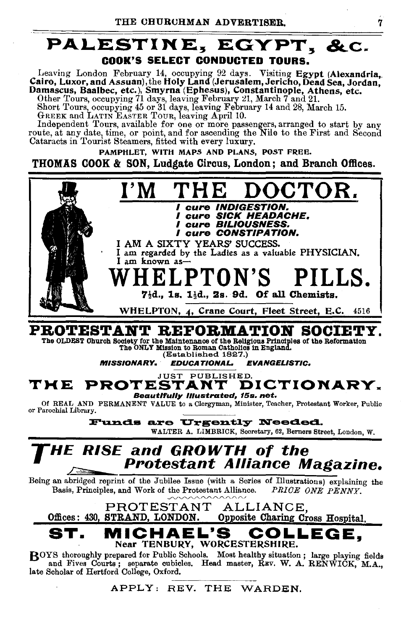### PALESTINE, EGYPT, &c. COOK'S SELECT CONDUCTED TOURS.

Leaving London February 14, occupying 92 days. Visiting Egypt (Alexandria, Cairo, Luxor, and Assuan), the Holy Land (Jerusalem, Jericho, Dead Sea, Jordan, Damascus, Baalbec, etc.), Smyrna (Ephesus), Constantinople, Athens, etc. Other Tours, occupying 71 days, leaving February 21, March 7 and 21.

Short Tours, occupying 45 or 31 days, leaving February 14 and 28, March 15.<br>GREEK and LATIN EASTER TOUR, leaving April 10.<br>Independent Tours, available for one or more passengers, arranged to start by any

route, at any date, time, or point, and for ascending the Nile to the First and Second Cataracts in Tourist Steamers, fitted with every luxury.

PAMPHLET, WITH MAPS AND PLANS, POST FREE. THOMAS COOK & SON, Ludgate Circus, London; and Branch Offices.



PROTESTANT REFORMATION SOCIETY.

The OLDEST Ohurch Society for the Maintenance of the Religious Principles of the Reformation<br>The ONLY Mission to Roman Oathollos in England.<br>(Established 1827.)

MISSIONARY, EDUCATIONAL. EVANGELISTIC.

### JUST PUBLISHED.<br>**STANT DICTIONARY.**  $$

Of REAL AND PERMANENT VALUE to a Clergyman, Minister, Teacher, Protestant Worker, Public or Parochial Library.

Funds are Urgently Needed. WALTER A. LIMBRICK, Secretary, 62, Bemers Street, London, W.

### *THE RISE* and *GROWTH* of the Protestant Alliance Magazine.

Being an abridged reprint of the Jubilee Issue (with a Series of Illustrations) explaining the Basis, Principles, and Work of the Protestant Alliance. PRICE ONE PENNY. Basis, Principles, and Work of the Protestant Alliance.

PROTESTANT ALLIANCE,<br>Offices: 430. STRAND. LONDON. Opposite Charing Co Opposite Charing Cross Hospital,

MICHAEL'S COLLEGE. Near TENBURY, WORCESTERSHIRE.

BOYS thoroughly prepared for Public Schools. Most healthy situation ; large playing fields and Fives Courts; separate cubicles. Head master, REV. W. A. RENWICK, M.A., late Scholar of Hertford College, Oxford.

APPLY: REV. THE WARDEN.